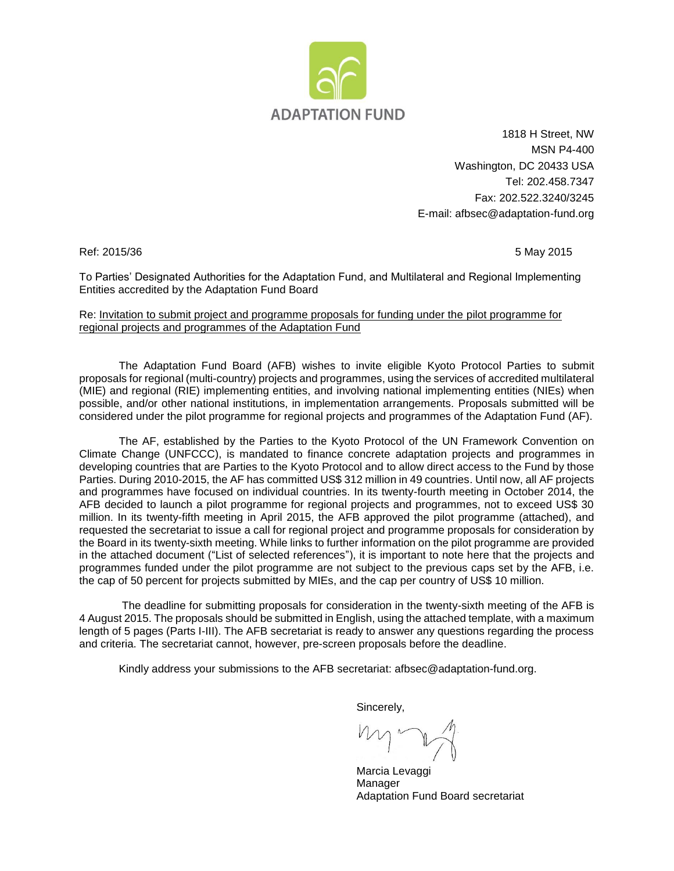

1818 H Street, NW MSN P4-400 Washington, DC 20433 USA Tel: 202.458.7347 Fax: 202.522.3240/3245 E-mail: afbsec@adaptation-fund.org

Ref: 2015/36 5 May 2015

To Parties' Designated Authorities for the Adaptation Fund, and Multilateral and Regional Implementing Entities accredited by the Adaptation Fund Board

#### Re: Invitation to submit project and programme proposals for funding under the pilot programme for regional projects and programmes of the Adaptation Fund

The Adaptation Fund Board (AFB) wishes to invite eligible Kyoto Protocol Parties to submit proposals for regional (multi-country) projects and programmes, using the services of accredited multilateral (MIE) and regional (RIE) implementing entities, and involving national implementing entities (NIEs) when possible, and/or other national institutions, in implementation arrangements. Proposals submitted will be considered under the pilot programme for regional projects and programmes of the Adaptation Fund (AF).

The AF, established by the Parties to the Kyoto Protocol of the UN Framework Convention on Climate Change (UNFCCC), is mandated to finance concrete adaptation projects and programmes in developing countries that are Parties to the Kyoto Protocol and to allow direct access to the Fund by those Parties. During 2010-2015, the AF has committed US\$ 312 million in 49 countries. Until now, all AF projects and programmes have focused on individual countries. In its twenty-fourth meeting in October 2014, the AFB decided to launch a pilot programme for regional projects and programmes, not to exceed US\$ 30 million. In its twenty-fifth meeting in April 2015, the AFB approved the pilot programme (attached), and requested the secretariat to issue a call for regional project and programme proposals for consideration by the Board in its twenty-sixth meeting. While links to further information on the pilot programme are provided in the attached document ("List of selected references"), it is important to note here that the projects and programmes funded under the pilot programme are not subject to the previous caps set by the AFB, i.e. the cap of 50 percent for projects submitted by MIEs, and the cap per country of US\$ 10 million.

The deadline for submitting proposals for consideration in the twenty-sixth meeting of the AFB is 4 August 2015. The proposals should be submitted in English, using the attached template, with a maximum length of 5 pages (Parts I-III). The AFB secretariat is ready to answer any questions regarding the process and criteria. The secretariat cannot, however, pre-screen proposals before the deadline.

Kindly address your submissions to the AFB secretariat: afbsec@adaptation-fund.org.

Sincerely,

Marcia Levaggi Manager Adaptation Fund Board secretariat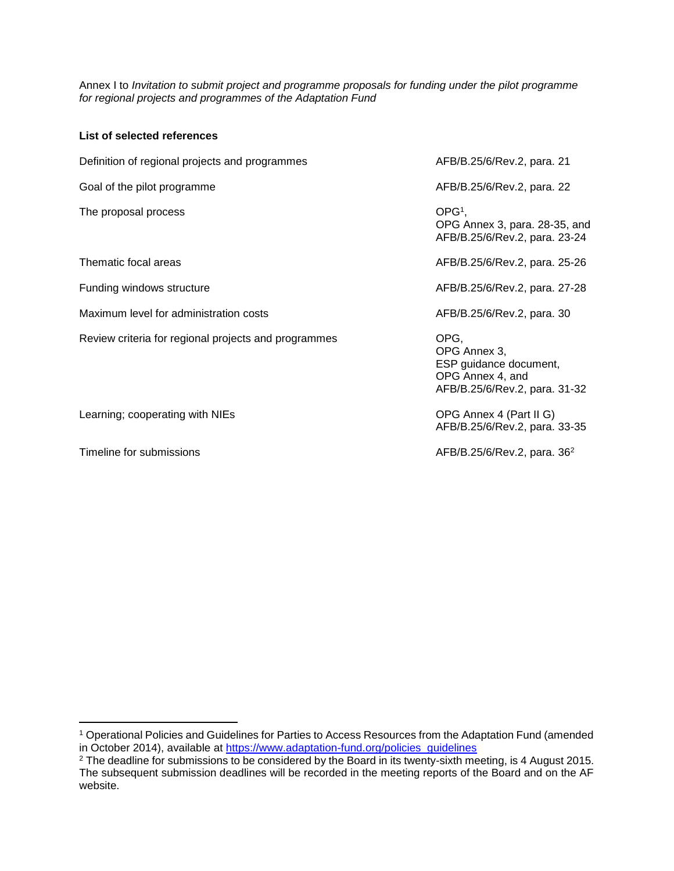Annex I to *Invitation to submit project and programme proposals for funding under the pilot programme for regional projects and programmes of the Adaptation Fund*

| List of selected references                          |                                                                                                     |
|------------------------------------------------------|-----------------------------------------------------------------------------------------------------|
| Definition of regional projects and programmes       | AFB/B.25/6/Rev.2, para. 21                                                                          |
| Goal of the pilot programme                          | AFB/B.25/6/Rev.2, para. 22                                                                          |
| The proposal process                                 | $OPG1$ .<br>OPG Annex 3, para. 28-35, and<br>AFB/B.25/6/Rev.2, para. 23-24                          |
| Thematic focal areas                                 | AFB/B.25/6/Rev.2, para. 25-26                                                                       |
| Funding windows structure                            | AFB/B.25/6/Rev.2, para. 27-28                                                                       |
| Maximum level for administration costs               | AFB/B.25/6/Rev.2, para. 30                                                                          |
| Review criteria for regional projects and programmes | OPG,<br>OPG Annex 3,<br>ESP guidance document,<br>OPG Annex 4, and<br>AFB/B.25/6/Rev.2, para. 31-32 |
| Learning; cooperating with NIEs                      | OPG Annex 4 (Part II G)<br>AFB/B.25/6/Rev.2, para. 33-35                                            |
| Timeline for submissions                             | AFB/B.25/6/Rev.2, para. 36 <sup>2</sup>                                                             |

<sup>1</sup> Operational Policies and Guidelines for Parties to Access Resources from the Adaptation Fund (amended in October 2014), available at [https://www.adaptation-fund.org/policies\\_guidelines](https://www.adaptation-fund.org/policies_guidelines)

<sup>&</sup>lt;sup>2</sup> The deadline for submissions to be considered by the Board in its twenty-sixth meeting, is 4 August 2015. The subsequent submission deadlines will be recorded in the meeting reports of the Board and on the AF website.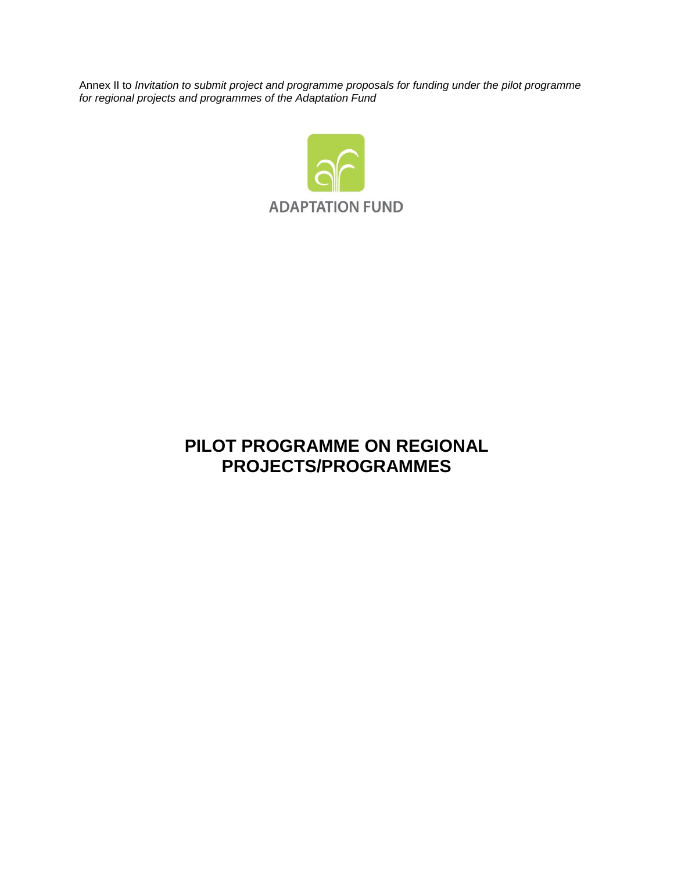Annex II to *Invitation to submit project and programme proposals for funding under the pilot programme for regional projects and programmes of the Adaptation Fund*



# **PILOT PROGRAMME ON REGIONAL PROJECTS/PROGRAMMES**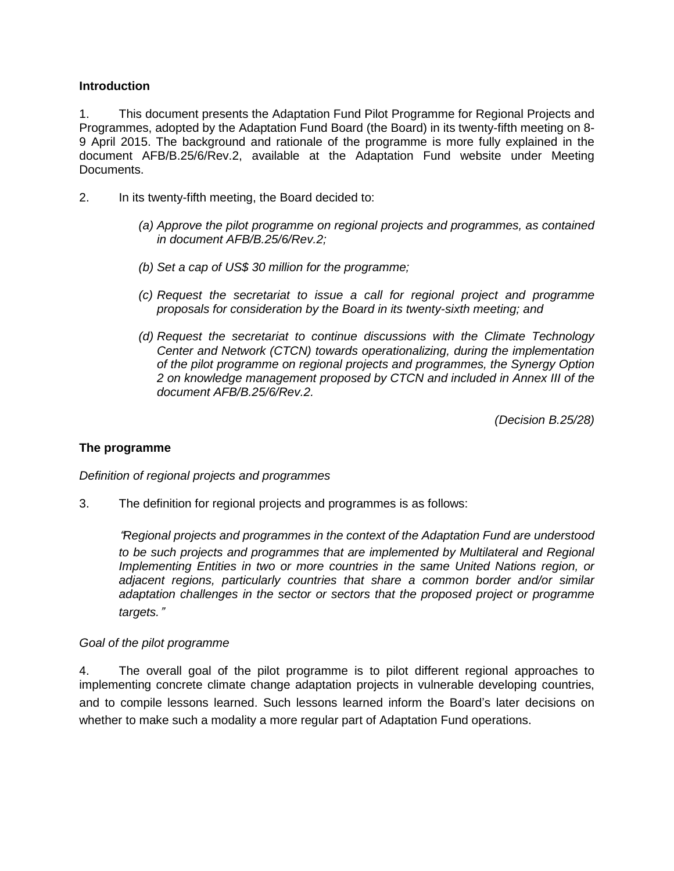#### **Introduction**

1. This document presents the Adaptation Fund Pilot Programme for Regional Projects and Programmes, adopted by the Adaptation Fund Board (the Board) in its twenty-fifth meeting on 8- 9 April 2015. The background and rationale of the programme is more fully explained in the document AFB/B.25/6/Rev.2, available at the Adaptation Fund website under Meeting Documents.

- 2. In its twenty-fifth meeting, the Board decided to:
	- *(a) Approve the pilot programme on regional projects and programmes, as contained in document AFB/B.25/6/Rev.2;*
	- *(b) Set a cap of US\$ 30 million for the programme;*
	- *(c) Request the secretariat to issue a call for regional project and programme proposals for consideration by the Board in its twenty-sixth meeting; and*
	- *(d) Request the secretariat to continue discussions with the Climate Technology Center and Network (CTCN) towards operationalizing, during the implementation of the pilot programme on regional projects and programmes, the Synergy Option 2 on knowledge management proposed by CTCN and included in Annex III of the document AFB/B.25/6/Rev.2.*

*(Decision B.25/28)*

#### **The programme**

*Definition of regional projects and programmes*

3. The definition for regional projects and programmes is as follows:

"*Regional projects and programmes in the context of the Adaptation Fund are understood to be such projects and programmes that are implemented by Multilateral and Regional Implementing Entities in two or more countries in the same United Nations region, or adjacent regions, particularly countries that share a common border and/or similar adaptation challenges in the sector or sectors that the proposed project or programme targets.*"

#### *Goal of the pilot programme*

4. The overall goal of the pilot programme is to pilot different regional approaches to implementing concrete climate change adaptation projects in vulnerable developing countries, and to compile lessons learned. Such lessons learned inform the Board's later decisions on whether to make such a modality a more regular part of Adaptation Fund operations.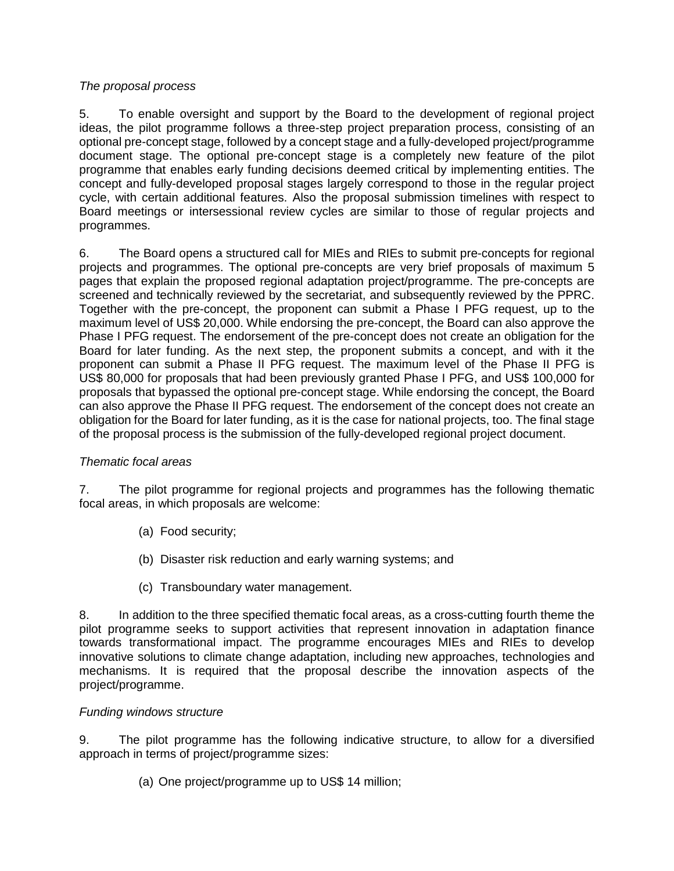#### *The proposal process*

5. To enable oversight and support by the Board to the development of regional project ideas, the pilot programme follows a three-step project preparation process, consisting of an optional pre-concept stage, followed by a concept stage and a fully-developed project/programme document stage. The optional pre-concept stage is a completely new feature of the pilot programme that enables early funding decisions deemed critical by implementing entities. The concept and fully-developed proposal stages largely correspond to those in the regular project cycle, with certain additional features. Also the proposal submission timelines with respect to Board meetings or intersessional review cycles are similar to those of regular projects and programmes.

6. The Board opens a structured call for MIEs and RIEs to submit pre-concepts for regional projects and programmes. The optional pre-concepts are very brief proposals of maximum 5 pages that explain the proposed regional adaptation project/programme. The pre-concepts are screened and technically reviewed by the secretariat, and subsequently reviewed by the PPRC. Together with the pre-concept, the proponent can submit a Phase I PFG request, up to the maximum level of US\$ 20,000. While endorsing the pre-concept, the Board can also approve the Phase I PFG request. The endorsement of the pre-concept does not create an obligation for the Board for later funding. As the next step, the proponent submits a concept, and with it the proponent can submit a Phase II PFG request. The maximum level of the Phase II PFG is US\$ 80,000 for proposals that had been previously granted Phase I PFG, and US\$ 100,000 for proposals that bypassed the optional pre-concept stage. While endorsing the concept, the Board can also approve the Phase II PFG request. The endorsement of the concept does not create an obligation for the Board for later funding, as it is the case for national projects, too. The final stage of the proposal process is the submission of the fully-developed regional project document.

#### *Thematic focal areas*

7. The pilot programme for regional projects and programmes has the following thematic focal areas, in which proposals are welcome:

- (a) Food security;
- (b) Disaster risk reduction and early warning systems; and
- (c) Transboundary water management.

8. In addition to the three specified thematic focal areas, as a cross-cutting fourth theme the pilot programme seeks to support activities that represent innovation in adaptation finance towards transformational impact. The programme encourages MIEs and RIEs to develop innovative solutions to climate change adaptation, including new approaches, technologies and mechanisms. It is required that the proposal describe the innovation aspects of the project/programme.

### *Funding windows structure*

9. The pilot programme has the following indicative structure, to allow for a diversified approach in terms of project/programme sizes:

(a) One project/programme up to US\$ 14 million;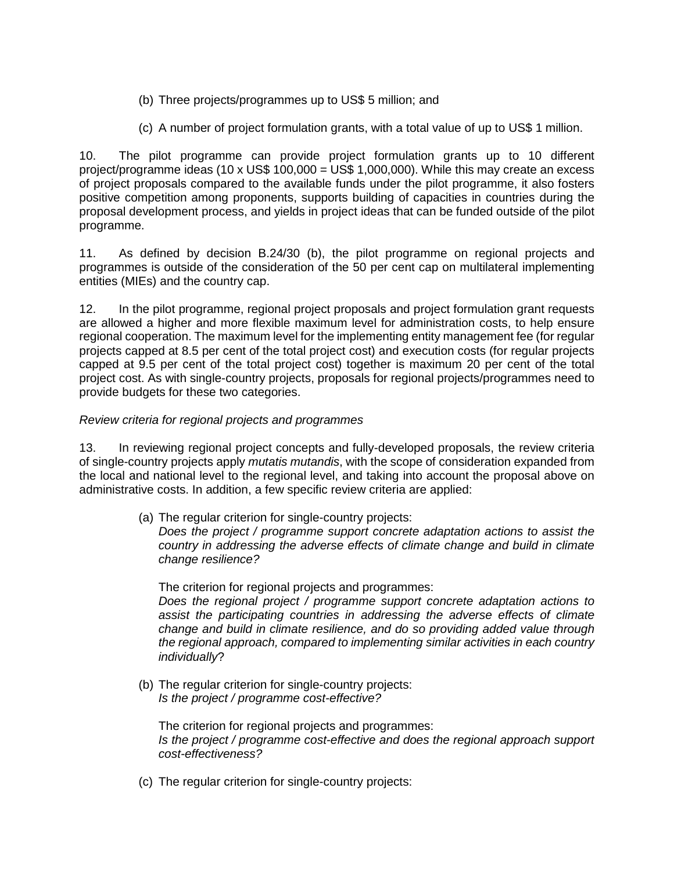- (b) Three projects/programmes up to US\$ 5 million; and
- (c) A number of project formulation grants, with a total value of up to US\$ 1 million.

10. The pilot programme can provide project formulation grants up to 10 different project/programme ideas (10 x US\$ 100,000 = US\$ 1,000,000). While this may create an excess of project proposals compared to the available funds under the pilot programme, it also fosters positive competition among proponents, supports building of capacities in countries during the proposal development process, and yields in project ideas that can be funded outside of the pilot programme.

11. As defined by decision B.24/30 (b), the pilot programme on regional projects and programmes is outside of the consideration of the 50 per cent cap on multilateral implementing entities (MIEs) and the country cap.

12. In the pilot programme, regional project proposals and project formulation grant requests are allowed a higher and more flexible maximum level for administration costs, to help ensure regional cooperation. The maximum level for the implementing entity management fee (for regular projects capped at 8.5 per cent of the total project cost) and execution costs (for regular projects capped at 9.5 per cent of the total project cost) together is maximum 20 per cent of the total project cost. As with single-country projects, proposals for regional projects/programmes need to provide budgets for these two categories.

#### *Review criteria for regional projects and programmes*

13. In reviewing regional project concepts and fully-developed proposals, the review criteria of single-country projects apply *mutatis mutandis*, with the scope of consideration expanded from the local and national level to the regional level, and taking into account the proposal above on administrative costs. In addition, a few specific review criteria are applied:

> (a) The regular criterion for single-country projects: *Does the project / programme support concrete adaptation actions to assist the country in addressing the adverse effects of climate change and build in climate change resilience?*

The criterion for regional projects and programmes: *Does the regional project / programme support concrete adaptation actions to assist the participating countries in addressing the adverse effects of climate change and build in climate resilience, and do so providing added value through the regional approach, compared to implementing similar activities in each country individually*?

(b) The regular criterion for single-country projects: *Is the project / programme cost-effective?*

The criterion for regional projects and programmes: *Is the project / programme cost-effective and does the regional approach support cost-effectiveness?*

(c) The regular criterion for single-country projects: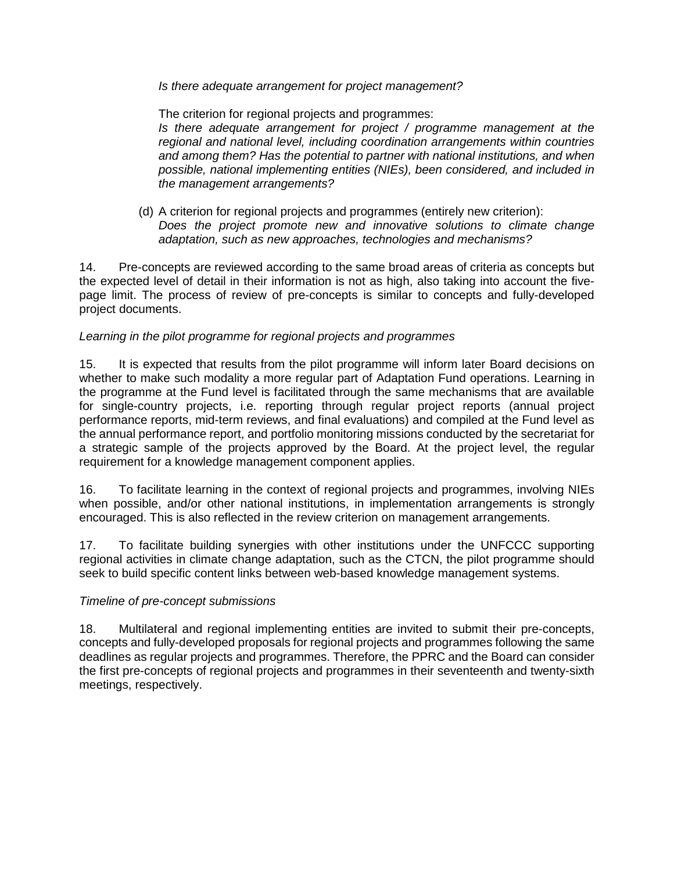#### *Is there adequate arrangement for project management?*

The criterion for regional projects and programmes: *Is there adequate arrangement for project / programme management at the regional and national level, including coordination arrangements within countries and among them? Has the potential to partner with national institutions, and when possible, national implementing entities (NIEs), been considered, and included in the management arrangements?*

(d) A criterion for regional projects and programmes (entirely new criterion): *Does the project promote new and innovative solutions to climate change adaptation, such as new approaches, technologies and mechanisms?*

14. Pre-concepts are reviewed according to the same broad areas of criteria as concepts but the expected level of detail in their information is not as high, also taking into account the fivepage limit. The process of review of pre-concepts is similar to concepts and fully-developed project documents.

#### *Learning in the pilot programme for regional projects and programmes*

15. It is expected that results from the pilot programme will inform later Board decisions on whether to make such modality a more regular part of Adaptation Fund operations. Learning in the programme at the Fund level is facilitated through the same mechanisms that are available for single-country projects, i.e. reporting through regular project reports (annual project performance reports, mid-term reviews, and final evaluations) and compiled at the Fund level as the annual performance report, and portfolio monitoring missions conducted by the secretariat for a strategic sample of the projects approved by the Board. At the project level, the regular requirement for a knowledge management component applies.

16. To facilitate learning in the context of regional projects and programmes, involving NIEs when possible, and/or other national institutions, in implementation arrangements is strongly encouraged. This is also reflected in the review criterion on management arrangements.

17. To facilitate building synergies with other institutions under the UNFCCC supporting regional activities in climate change adaptation, such as the CTCN, the pilot programme should seek to build specific content links between web-based knowledge management systems.

#### *Timeline of pre-concept submissions*

18. Multilateral and regional implementing entities are invited to submit their pre-concepts, concepts and fully-developed proposals for regional projects and programmes following the same deadlines as regular projects and programmes. Therefore, the PPRC and the Board can consider the first pre-concepts of regional projects and programmes in their seventeenth and twenty-sixth meetings, respectively.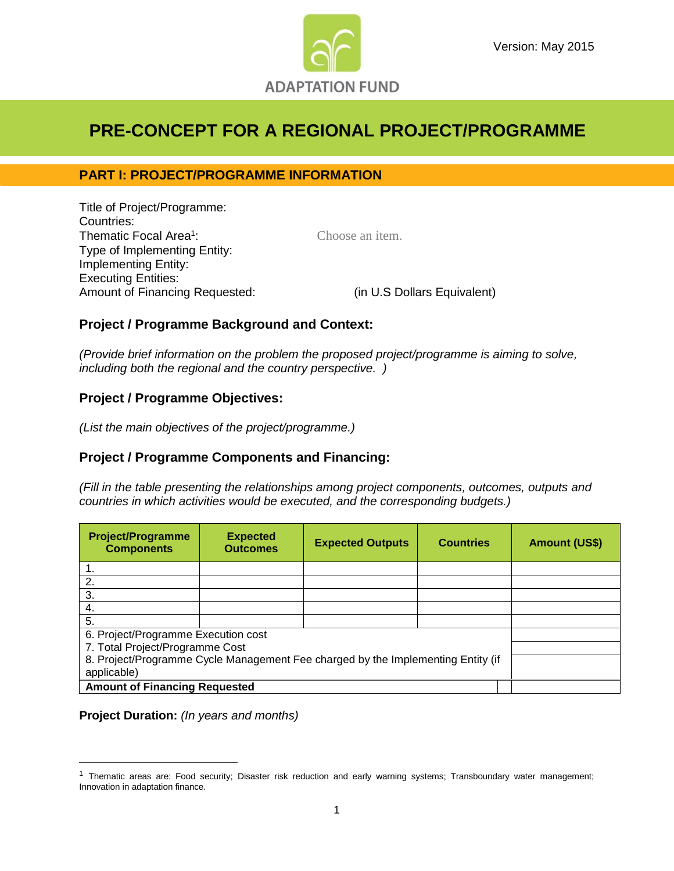

## **PRE-CONCEPT FOR A REGIONAL PROJECT/PROGRAMME**

## **PART I: PROJECT/PROGRAMME INFORMATION**

Title of Project/Programme: Countries: Thematic Focal Area<sup>1</sup> Type of Implementing Entity: Implementing Entity: Executing Entities: Amount of Financing Requested: (in U.S Dollars Equivalent)

Choose an item.

## **Project / Programme Background and Context:**

*(Provide brief information on the problem the proposed project/programme is aiming to solve, including both the regional and the country perspective. )*

## **Project / Programme Objectives:**

*(List the main objectives of the project/programme.)*

## **Project / Programme Components and Financing:**

*(Fill in the table presenting the relationships among project components, outcomes, outputs and countries in which activities would be executed, and the corresponding budgets.)*

| <b>Project/Programme</b><br><b>Components</b>                                    | <b>Expected</b><br><b>Outcomes</b> | <b>Expected Outputs</b> | <b>Countries</b> | <b>Amount (US\$)</b> |
|----------------------------------------------------------------------------------|------------------------------------|-------------------------|------------------|----------------------|
|                                                                                  |                                    |                         |                  |                      |
| 2.                                                                               |                                    |                         |                  |                      |
| 3.                                                                               |                                    |                         |                  |                      |
| 4.                                                                               |                                    |                         |                  |                      |
| 5.                                                                               |                                    |                         |                  |                      |
| 6. Project/Programme Execution cost                                              |                                    |                         |                  |                      |
| 7. Total Project/Programme Cost                                                  |                                    |                         |                  |                      |
| 8. Project/Programme Cycle Management Fee charged by the Implementing Entity (if |                                    |                         |                  |                      |
| applicable)                                                                      |                                    |                         |                  |                      |
| <b>Amount of Financing Requested</b>                                             |                                    |                         |                  |                      |

**Project Duration:** *(In years and months)*

<sup>&</sup>lt;sup>1</sup> Thematic areas are: Food security; Disaster risk reduction and early warning systems; Transboundary water management; Innovation in adaptation finance.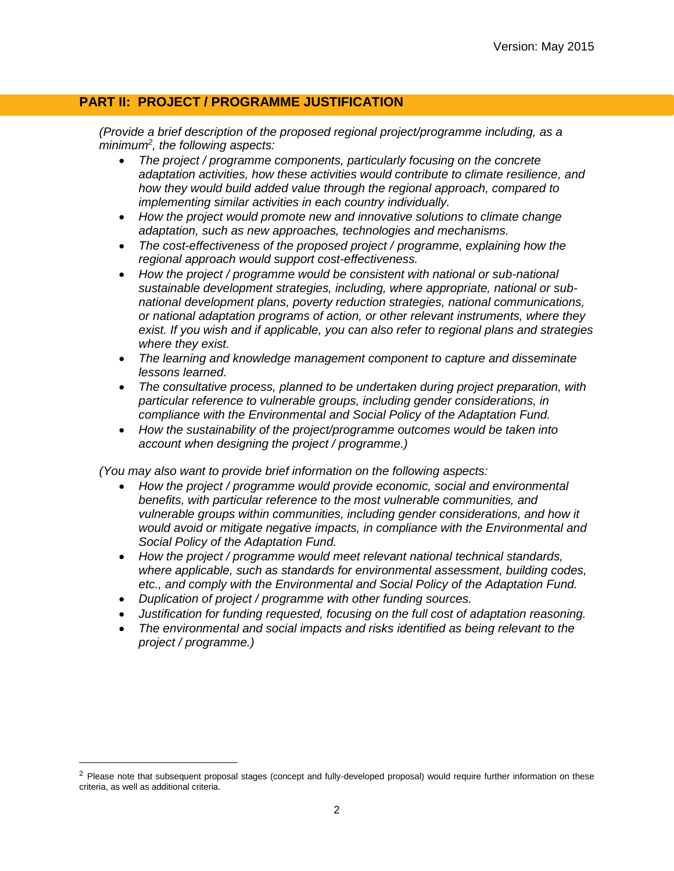## **PART II: PROJECT / PROGRAMME JUSTIFICATION**

*(Provide a brief description of the proposed regional project/programme including, as a minimum<sup>2</sup> , the following aspects:*

- *The project / programme components, particularly focusing on the concrete adaptation activities, how these activities would contribute to climate resilience, and how they would build added value through the regional approach, compared to implementing similar activities in each country individually.*
- *How the project would promote new and innovative solutions to climate change adaptation, such as new approaches, technologies and mechanisms.*
- *The cost-effectiveness of the proposed project / programme, explaining how the regional approach would support cost-effectiveness.*
- *How the project / programme would be consistent with national or sub-national sustainable development strategies, including, where appropriate, national or subnational development plans, poverty reduction strategies, national communications, or national adaptation programs of action, or other relevant instruments, where they exist. If you wish and if applicable, you can also refer to regional plans and strategies where they exist.*
- *The learning and knowledge management component to capture and disseminate lessons learned.*
- *The consultative process, planned to be undertaken during project preparation, with particular reference to vulnerable groups, including gender considerations, in compliance with the Environmental and Social Policy of the Adaptation Fund.*
- *How the sustainability of the project/programme outcomes would be taken into account when designing the project / programme.)*

*(You may also want to provide brief information on the following aspects:*

- *How the project / programme would provide economic, social and environmental benefits, with particular reference to the most vulnerable communities, and vulnerable groups within communities, including gender considerations, and how it would avoid or mitigate negative impacts, in compliance with the Environmental and Social Policy of the Adaptation Fund.*
- *How the project / programme would meet relevant national technical standards, where applicable, such as standards for environmental assessment, building codes, etc., and comply with the Environmental and Social Policy of the Adaptation Fund.*
- *Duplication of project / programme with other funding sources.*

- *Justification for funding requested, focusing on the full cost of adaptation reasoning.*
- *The environmental and social impacts and risks identified as being relevant to the project / programme.)*

<sup>&</sup>lt;sup>2</sup> Please note that subsequent proposal stages (concept and fully-developed proposal) would require further information on these criteria, as well as additional criteria.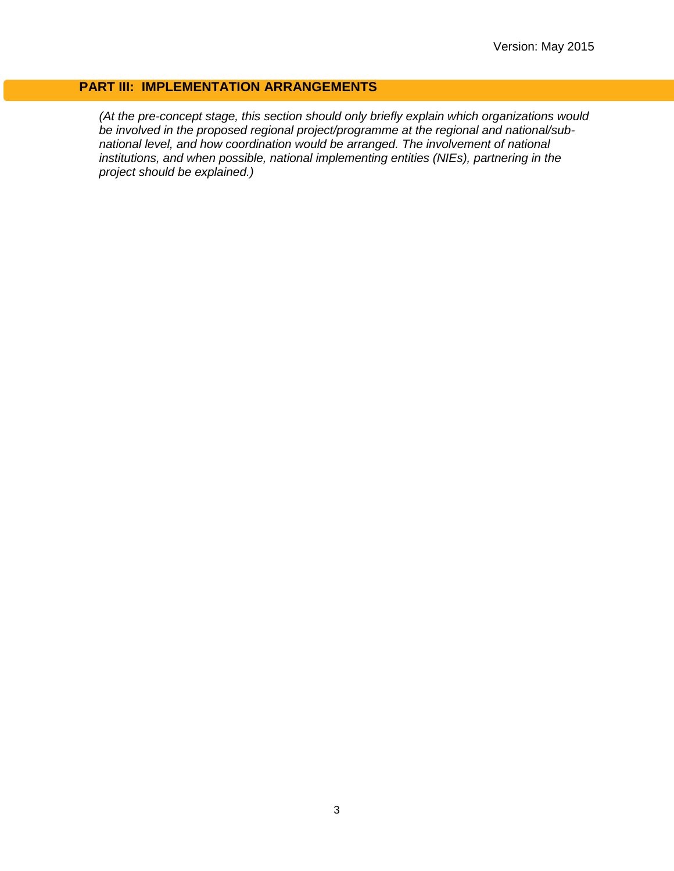## **PART III: IMPLEMENTATION ARRANGEMENTS**

*(At the pre-concept stage, this section should only briefly explain which organizations would be involved in the proposed regional project/programme at the regional and national/subnational level, and how coordination would be arranged. The involvement of national institutions, and when possible, national implementing entities (NIEs), partnering in the project should be explained.)*